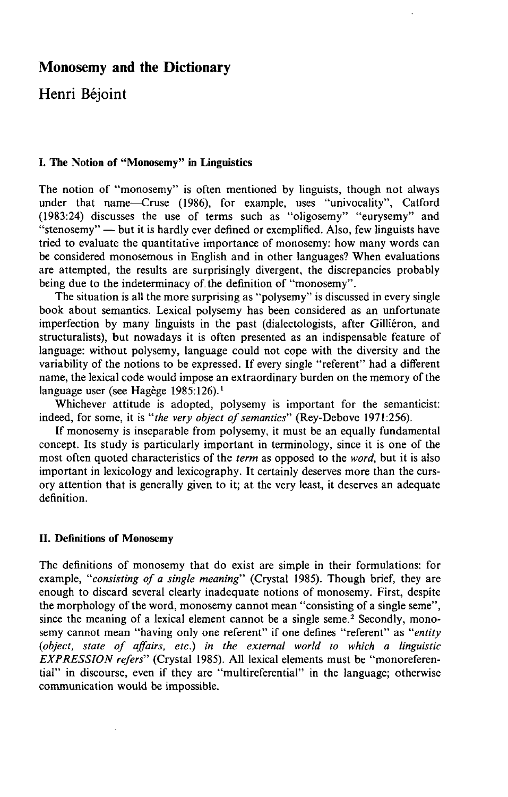# **Monosemy and the Dictionary**

**Henri Béjoint** 

# **I. The Notion of "Monosemy" in Linguistics**

The notion of "monosemy" is often mentioned by linguists, though not always under that name—Cruse (1986), for example, uses "univocality", Catford (1983:24) discusses the use of terms such as "oligosemy" "eurysemy" and "stenosemy" — but it is hardly ever defined or exemplified. Also, few linguists have tried to evaluate the quantitative importance of monosemy: how many words can be considered monosemous in English and in other languages? When evaluations are attempted, the results are surprisingly divergent, the discrepancies probably being due to the indeterminacy of the definition of "monosemy".

The situation is all the more surprising as "polysemy" is discussed in every single book about semantics. Lexical polysemy has been considered as an unfortunate imperfection by many linguists in the past (dialectologists, after Gilliéron, and structuralists), but nowadays it is often presented as an indispensable feature of language: without polysemy, language could not cope with the diversity and the variability of the notions to be expressed. If every single "referent" had a different name, the lexical code would impose an extraordinary burden on the memory of the language user (see Hagège 1985:126).<sup>1</sup>

Whichever attitude is adopted, polysemy is important for the semanticist: indeed, for some, it is *"the very object of semantics"* (Rey-Debove 1971:256).

If monosemy is inseparable from polysemy, it must be an equally fundamental concept. Its study is particularly important in terminology, since it is one of the most often quoted characteristics of the *term* as opposed to the *word,* but it is also important in lexicology and lexicography. It certainly deserves more than the cursory attention that is generally given to it; at the very least, it deserves an adequate definition.

# **U. Definitions of Monosemy**

The definitions of monosemy that do exist are simple in their formulations: for example, *"consisting of a single meaning"* (Crystal 1985). Though brief, they are enough to discard several clearly inadequate notions of monosemy. First, despite the morphology of the word, monosemy cannot mean "consisting of a single seme", since the meaning of a lexical element cannot be a single seme.<sup>2</sup> Secondly, monosemy cannot mean "having only one referent" if one defines "referent" as *"entity (object, state of affairs, etc.) in the external world to which a linguistic EXPRESSION refers"* (Crystal 1985). All lexical elements must be "monoreferential" in discourse, even if they are "multireferential" in the language; otherwise communication would be impossible.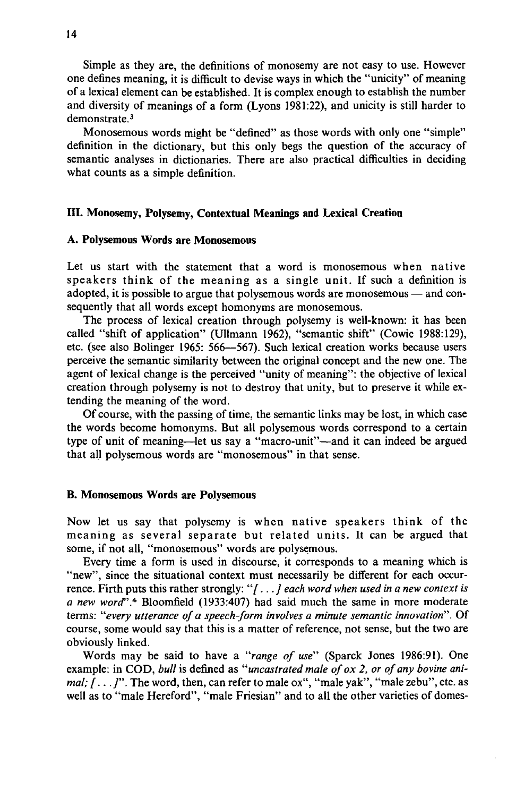Simple as they are, the definitions of monosemy are not easy to use. However one defines meaning, it is difficult to devise ways in which the "unicity" of meaning ofa lexical element can be established. It is complex enough to estabhsh the number and diversity of meanings of a form (Lyons 1981:22), and unicity is still harder to demonstrate.<sup>3</sup>

Monosemous words might be "defined" as those words with only one "simple" definition in the dictionary, but this only begs the question of the accuracy of semantic analyses in dictionaries. There are also practical difficulties in deciding what counts as a simple definition.

# **. Monosemy, Polysemy, Contextual Meanings and Lexical Creation**

#### **A. Polysemous Words are Monosemous**

Let us start with the statement that a word is monosemous when native speakers think of the meaning as a single unit. If such a definition is adopted, it is possible to argue that polysemous words are monosemous — and consequently that all words except homonyms are monosemous.

The process of lexical creation through polysemy is well-known: it has been called "shift of application" (Ullmann 1962), "semantic shift" (Cowie 1988:129), etc. (see also Bolinger 1965: 566—567). Such lexical creation works because users perceive the semantic similarity between the original concept and the new one. The agent of lexical change is the perceived "unity of meaning": the objective of lexical creation through polysemy is not to destroy that unity, but to preserve it while extending the meaning of the word.

Of course, with the passing of time, the semantic links may be lost, in which case the words become homonyms. But all polysemous words correspond to a certain type of unit of meaning—let us say a "macro-unit"—and it can indeed be argued that all polysemous words are "monosemous" in that sense.

#### **B. Monosemous Words are Polysemous**

Now let us say that polysemy is when native speakers think of the meaning as several separate but related units. It can be argued that some, if not all, "monosemous" words are polysemous.

Every time a form is used in discourse, it corresponds to a meaning which is "new", since the situational context must necessarily be different for each occurrence. Firth puts this rather strongly: *"[..*. / *each word when used in a new context is a new word".\** Bloomfield (1933:407) had said much the same in more moderate terms: "every utterance of a speech-form involves a minute semantic innovation". Of course, some would say that this is a matter of reference, not sense, but the two are obviously linked.

Words may be said to have a *"range of use"* (Sparck Jones 1986:91). One example: in COD, *bull* is defined as *"uncastrated male of ox 2, or of any bovine animal;*  $\hat{I}$ ... $\hat{J}$ ". The word, then, can refer to male ox", "male yak", "male zebu", etc. as well as to "male Hereford", "male Friesian" and to all the other varieties of domes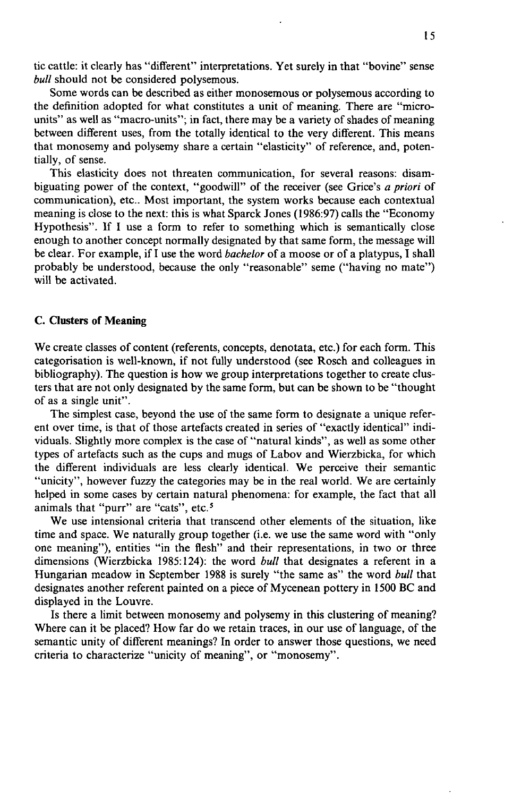tic cattle: it clearly has "different" interpretations. Yet surely in that "bovine" sense *bull* should not be considered polysemous.

Some words can be described as either monosemous or polysemous according to the definition adopted for what constitutes a unit of meaning. There are "microunits" as well as "macro-units"; in fact, there may be a variety of shades of meaning between different uses, from the totally identical to the very different. This means that monosemy and polysemy share a certain "elasticity" of reference, and, potentially, of sense.

This elasticity does not threaten communication, for several reasons: disambiguating power of the context, "goodwill" of the receiver (see Grice's *a priori* of communication), etc.. Most important, the system works because each contextual meaning is close to the next: this is what Sparck Jones (1986:97) calls the "Economy Hypothesis". If I use a form to refer to something which is semantically close enough to another concept normally designated by that same form, the message will be clear. For example, if I use the word *bachelor* of a moose or of a platypus, I shall probably be understood, because the only "reasonable" seme ("having no mate") will be activated.

# **C. Clusters of Meaning**

We create classes of content (referents, concepts, denotata, etc.) for each form. This categorisation is well-known, if not fully understood (see Rosch and colleagues in bibliography). The question is how we group interpretations together to create clusters that are not only designated by the same form, but can be shown to be "thought of as a single unit".

The simplest case, beyond the use of the same form to designate a unique referent over time, is that of those artefacts created in series of "exactly identical" individuals. Slightly more complex is the case of "natural kinds", as well as some other types of artefacts such as the cups and mugs of Labov and Wierzbicka, for which the different individuals are less clearly identical. We perceive their semantic "unicity", however fuzzy the categories may be in the real world. We are certainly helped in some cases by certain natural phenomena: for example, the fact that all animals that "purr" are "cats", etc.<sup>5</sup>

We use intensional criteria that transcend other elements of the situation, like time and space. We naturally group together (i.e. we use the same word with "only one meaning"), entities "in the flesh" and their representations, in two or three dimensions (Wierzbicka 1985:124): the word *bull* that designates a referent in a Hungarian meadow in September 1988 is surely "the same as" the word *bull* that designates another referent painted on a piece of Mycenean pottery in 1500 BC and displayed in the Louvre.

Is there a limit between monosemy and polysemy in this clustering of meaning? Where can it be placed? How far do we retain traces, in our use of language, of the semantic unity of different meanings? In order to answer those questions, we need criteria to characterize "unicity of meaning", or "monosemy".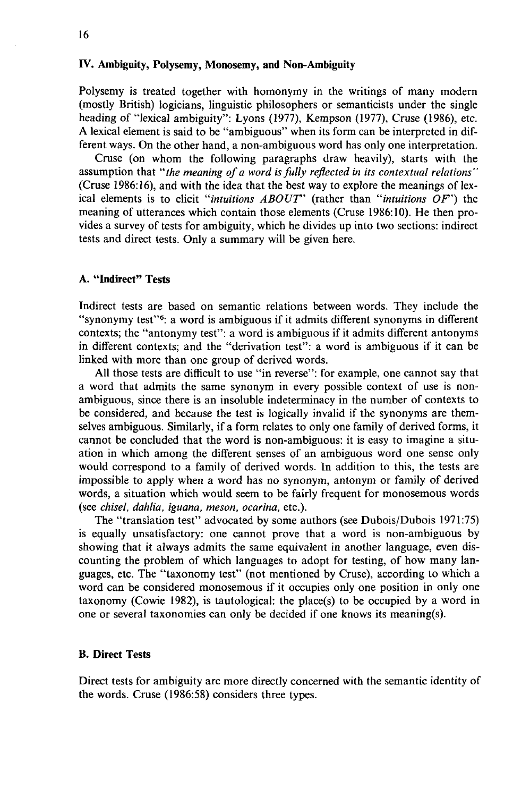# *TV.* **Ambiguity, Polysemy, Monosemy, and Non-Ambiguity**

Polysemy is treated together with homonymy in the writings of many modern (mostly British) logicians, linguistic philosophers or semanticists under the single heading of "lexical ambiguity": Lyons (1977), Kempson (1977), Cruse (1986), etc. **A** lexical element is said to be "ambiguous" when its form can be interpreted in different ways. On the other hand, a non-ambiguous word has only one interpretation.

Cruse (on whom the following paragraphs draw heavily), starts with the assumption that *"the meaning of a word is fully reflected in its contextual relations"*  (Cruse 1986:16), and with the idea that the best way to explore the meanings of lexical elements is to elicit *"intuitions ABOUT'* (rather than *"intuitions OF')* the meaning of utterances which contain those elements  $(C_{\text{ruse}} 1986:10)$ . He then provides a survey of tests for ambiguity, which he divides up into two sections: indirect tests and direct tests. Only a summary will be given here.

# **A. "Indirect" Tests**

Indirect tests are based on semantic relations between words. They include the "synonymy test"<sup>6</sup>: a word is ambiguous if it admits different synonyms in different contexts; the "antonymy test": a word is ambiguous if it admits different antonyms in different contexts; and the "derivation test": a word is ambiguous if it can be linked with more than one group of derived words.

All those tests are difficult to use "in reverse": for example, one cannot say that a word that admits the same synonym in every possible context of use is nonambiguous, since there is an insoluble indeterminacy in the number of contexts to be considered, and because the test is logically invalid if the synonyms are themselves ambiguous. Similarly, if a form relates to only one family of derived forms, it cannot be concluded that the word is non-ambiguous: it is easy to imagine a situation in which among the different senses of an ambiguous word one sense only would correspond to a family of derived words. In addition to this, the tests are impossible to apply when a word has no synonym, antonym or family of derived words, a situation which would seem to be fairly frequent for monosemous words (see *chisel, dahlia, iguana, meson, ocarina,* etc.).

The "translation test" advocated by some authors (see Dubois/Dubois 1971:75) is equally unsatisfactory: one cannot prove that a word is non-ambiguous by showing that it always admits the same equivalent in another language, even discounting the problem of which languages to adopt for testing, of how many languages, etc. The "taxonomy test" (not mentioned by Cruse), according to which a word can be considered monosemous if it occupies only one position in only one taxonomy (Cowie 1982), is tautological: the place(s) to be occupied by a word in one or several taxonomies can only be decided if one knows its meaning(s).

### **B. Direct Tests**

Direct tests for ambiguity are more directly concerned with the semantic identity of the words. Cruse (1986:58) considers three types.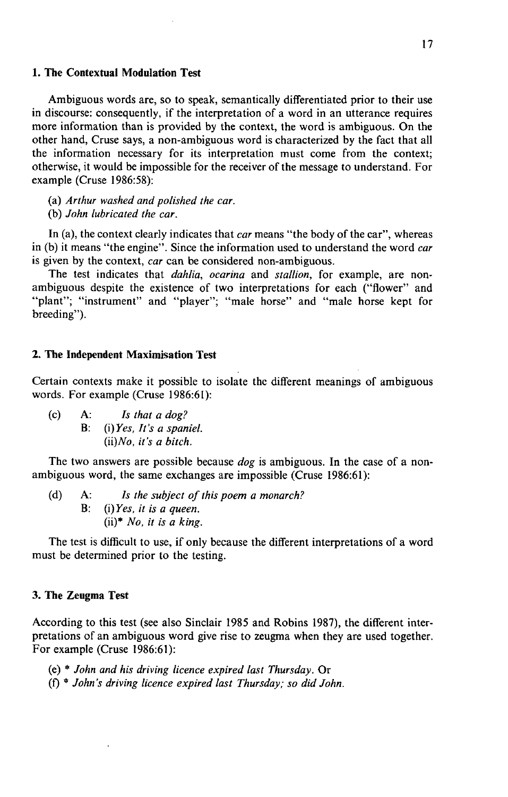# **1. The Contextual Modulation Test**

Ambiguous words are, so to speak, semantically differentiated prior to their use in discourse: consequently, if the interpretation of a word in an utterance requires more information than is provided by the context, the word is ambiguous. On the other hand, Cruse says, a non-ambiguous word is characterized by the fact that all the information necessary for its interpretation must come from the context; otherwise, it would be impossible for the receiver ofthe message to understand. For example (Cruse 1986:58):

(a) *Arthur washed and polished the car.* 

(b) *John lubricated the car.* 

In (a), the context clearly indicates that *car* means "the body of the car", whereas in (b) it means "the engine". Since the information used to understand the word *car*  is given by the context, *car* can be considered non-ambiguous.

The test indicates that *dahlia, ocarina* and *stallion,* for example, are nonambiguous despite the existence of two interpretations for each ("flower" and "plant"; "instrument" and "player"; "male horse" and "male horse kept for breeding").

### **2. The Independent Maximisation Test**

Certain contexts make it possible to isolate thc different meanings of ambiguous words. For example (Cruse 1986:61):

(c) A: *Is that a dog?*  B: *(i)Yes, It's a spaniel. (ii)No, it's a bitch.* 

The two answers are possible because *dog* is ambiguous. In the case of a nonambiguous word, the same exchanges are impossible (Cruse 1986:61):

(d) A: *Is the subject of this poem a monarch?*  B: *(i)Yes, it is a queen.*  (ii)\* *No, it is a king.* 

The test is difficult to use, if only because the different interpretations of a word must be determined prior to the testing.

### 3. **The Zeugma Test**

According to this test (see also Sinclair 1985 and Robins 1987), the different interpretations of an ambiguous word give rise to zeugma when they are used together. For example (Cruse 1986:61):

- (e) \* *John and his driving licence expired last Thursday.* Or
- (f) \* *John's driving licence expired last Thursday; so did John.*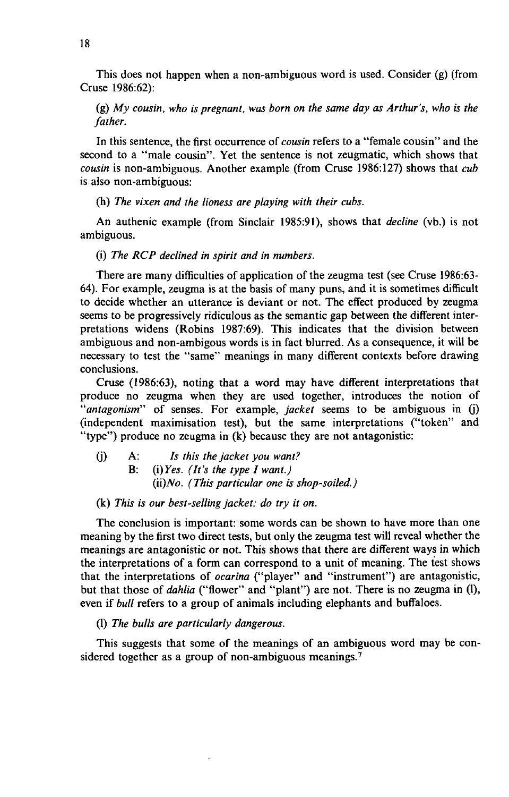This does not happen when a non-ambiguous word is used. Consider  $(g)$  (from Cruse 1986:62):

(g) *My cousin, who is pregnant, was born on the same day as Arthur's, who is the father.* 

In this sentence, the first occurrence of *cousin* refers to a "female cousin" and the second to a "male cousin". Yet the sentence is not zeugmatic, which shows that *cousin* is non-ambiguous. Another example (from Cruse 1986:127) shows that *cub*  is also non-ambiguous:

(h) *The vixen and the lioness are playing with their cubs.* 

An authenic example (from Sinclair 1985:91), shows that *decline* (vb.) is not ambiguous.

(i) *The RCP declined in spirit and in numbers.* 

There are many difficulties of application of the zeugma test (see Cruse 1986:63-64). For example, zeugma is at the basis of many puns, and it is sometimes difficult to decide whether an utterance is deviant or not. The effect produced by zeugma seems to be progressively ridiculous as the semantic gap between the different interpretations widens (Robins 1987:69). This indicates that the division between ambiguous and non-ambigous words is in fact blurred. As a consequence, it will be necessary to test the "same" meanings in many different contexts before drawing conclusions.

Cruse (1986:63), noting that a word may have different interpretations that produce no zeugma when they are used together, introduces the notion of *"antagonism"* of senses. For example, *jacket* seems to be ambiguous in *Q)*  (independent maximisation test), but the same interpretations ("token" and "type") produce no zeugma in (k) because they are not antagonistic:

- 0) A: *Is this the jacket you want?* 
	- B: *Q)Yes. (It's the type I want.) (ii)No. (This particular one is shop-soiled.)*

#### (k) *This is our best-selling jacket: do try it on.*

The conclusion is important: some words can be shown to have more than one meaning by the first two direct tests, but only the zeugma test will reveal whether the meanings are antagonistic or not. This shows that there are different ways in which the interpretations of a form can correspond to a unit of meaning. The test shows that the interpretations of *ocarina* ("player" and "instrument") are antagonistic, but that those of *dahlia* ("flower" and "plant") are not. There is no zeugma in (1), even if *bull* refers to a group of animals including elephants and buffaloes.

(1) *The bulls are particularly dangerous.* 

This suggests that some of the meanings of an ambiguous word may be considered together as a group of non-ambiguous meanings.<sup>7</sup>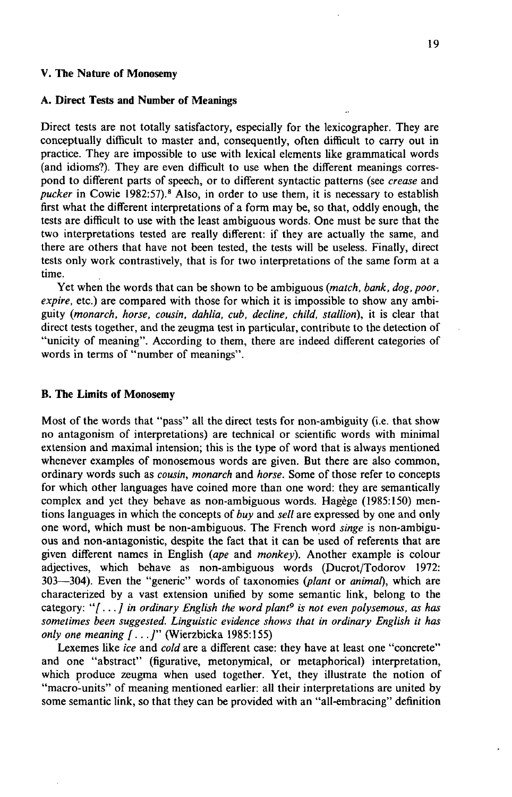#### **V. The Nature of Monosemy**

### **A. Direct Tests and Number of Meanings**

Direct tests are not totally satisfactory, especially for the lexicographer. They are conceptually difficult to master and, consequently, often difficult to carry out in practice. They are impossible to use with lexical elements like grammatical words (and idioms?). They are even difficult to use when the different meanings correspond to different parts of speech, or to different syntactic patterns (see *crease* and pucker in Cowie 1982:57).<sup>8</sup> Also, in order to use them, it is necessary to establish first what the different interpretations of a form may be, so that, oddly enough, the tests are difficult to use with the least ambiguous words. One must be sure that the two interpretations tested are really different: if they are actually the same, and there are others that have not been tested, the tests will be useless. Finally, direct tests only work contrastively, that is for two interpretations of the same form at a time.

Yet when the words that can be shown to be ambiguous *(match, bank, dog, poor, expire,* etc.) are compared with those for which it is impossible to show any ambiguity *(monarch, horse, cousin, dahlia, cub, decline, child, stallion),* it is clear that direct tests together, and the zeugma test in particular, contribute to the detection of "unicity of meaning". According to them, there are indeed different categories of words in terms of "number of meanings".

#### **B. The Limits of Monosemy**

Most of the words that "pass" all the direct tests for non-ambiguity (i.e. that show no antagonism of interpretations) are technical or scientific words with minimal extension and maximal intension; this is the type of word that is always mentioned whenever examples of monosemous words are given. But there are also common, ordinary words such as *cousin, monarch* and *horse.* Some of those refer to concepts for which other languages have coined more than one word: they are semantically complex and yet they behave as non-ambiguous words. Hagège (1985:150) mentions languages in which the concepts of *buy* and *sell* are expressed by one and only one word, which must be non-ambiguous. The French word *singe* is non-ambiguous and non-antagonistic, despite the fact that it can be used of referents that are given different names in English *(ape* and *monkey).* Another example is colour adjectives, which behave as non-ambiguous words (Ducrot/Todorov 1972: 303-304). Even the "generic" words of taxonomies (plant or animal), which are characterized by a vast extension unified by some semantic link, belong to the category: "[...] in ordinary English the word plant<sup>9</sup> is not even polysemous, as has *sometimes been suggested. Linguistic evidence shows that in ordinary English it has only one meaning*  $\lceil ... \rceil$ " (Wierzbicka 1985:155)

Lexemes like *ice* and *cold* are a different case: they have at least one "concrete" and one "abstract" (figurative, metonymical, or metaphorical) interpretation, which produce zeugma when used together. Yet, they illustrate the notion of "macro-units" of meaning mentioned earlier: all their interpretations are united by some semantic link, so that they can be provided with an "all-embracing" definition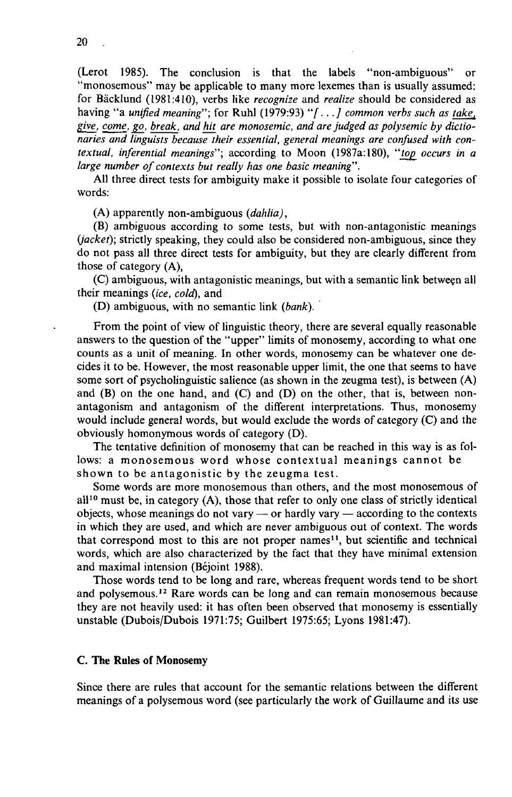(Lerot 1985). The conclusion is that the labels "non-ambiguous" or "monosemous" may be applicable to many more lexemes than is usually assumed: for Bäcklund (1981:410), verbs like *recognize* and *realize* should be considered as having "a *unified meaning";* for Ruhl (1979:93) "/.. *.] common verbs such as take,*  give, come, go, break, and hit are monosemic, and are judged as polysemic by dictio*naries and linguists because their essential, general meanings are confused with contextual, inferential meanings";* according to Moon (1987a:180), *"top\_ occurs in a large number of contexts but really has one basic meaning".* 

All three direct tests for ambiguity make it possible to isolate four categories of words:

(A) apparently non-ambiguous *(dahlia),* 

(B) ambiguous according to some tests, but with non-antagonistic meanings *jacket);* strictly speaking, they could also be considered non-ambiguous, since they do not pass all three direct tests for ambiguity, but they are clearly different from those of category (A),

(C) ambiguous, with antagonistic meanings, but with a semantic link between all their meanings *(ice, cold),* and

(D) ambiguous, with no semantic link *(bank).* 

From the point of view of linguistic theory, there are several equally reasonable answers to the question of the "upper" limits of monosemy, according to what one counts as a unit of meaning. In other words, monosemy can be whatever one decides it to be. However, the most reasonable upper limit, the one that seems to have some sort of psycholinguistic salience (as shown in the zeugma test), is between (A) and (B) on the one hand, and (C) and (D) on the other, that is, between nonantagonism and antagonism of the different interpretations. Thus, monosemy would include general words, but would exclude the words of category (C) and the obviously homonymous words of category (D).

The tentative definition of monosemy that can be reached in this way is as follows: a monosemous word whose contextual meanings cannot be shown to be antagonistic by the zeugma test.

Some words are more monosemous than others, and the most monosemous of all<sup>10</sup> must be, in category  $(A)$ , those that refer to only one class of strictly identical objects, whose meanings do not vary — or hardly vary — according to the contexts in which they are used, and which are never ambiguous out of context. The words that correspond most to this are not proper names<sup>11</sup>, but scientific and technical words, which are also characterized by the fact that they have minimal extension and maximal intension (Bejoint 1988).

Those words tend to be long and rare, whereas frequent words tend to be short and polysemous.<sup>12</sup> Rare words can be long and can remain monosemous because they are not heavily used: it has often been observed that monosemy is essentially unstable (Dubois/Dubois 1971:75; Guilbert 1975:65; Lyons 1981:47).

# **C. The Rules of Monosemy**

Since there are rules that account for the semantic relations between the different meanings of a polysemous word (see particularly the work of Guillaume and its use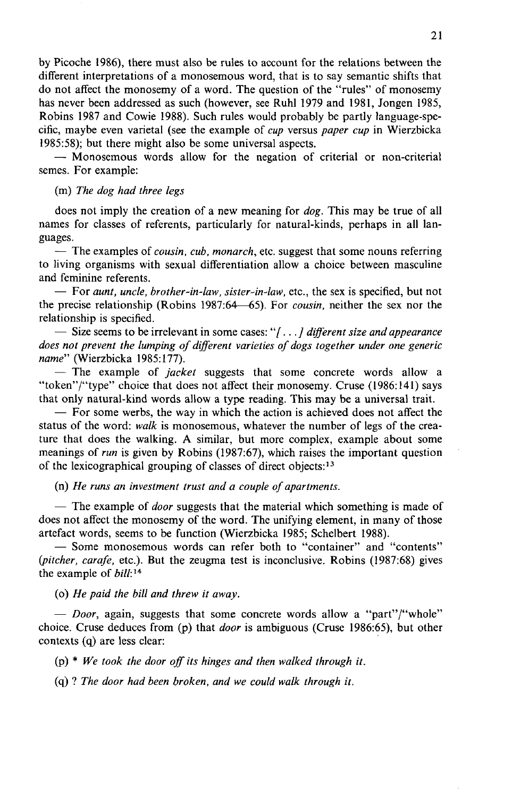by Picoche 1986), there must also be rules to account for the relations between the different interpretations of a monosemous word, that is to say semantic shifts that do not affect the monosemy of a word. The question of the "rules" of monosemy has never been addressed as such (however, see Ruhl 1979 and 1981, Jongen 1985, Robins 1987 and Cowie 1988). Such rules would probably be partly language-specific, maybe even varietal (see the example of *cup* versus *paper cup* in Wierzbicka 1985:58); but there might also be some universal aspects.

— Monosemous words allow for the negation of criterial or non-criterial semes. For example:

# (m) *The dog had three legs*

does not imply the creation of a new meaning for *dog.* This may be true of all names for classes of referents, particularly for natural-kinds, perhaps in all languages.

— The examples of *cousin, cub, monarch,* etc. suggest that some nouns referring to living organisms with sexual differentiation allow a choice between masculine and feminine referents.

— For *aunt, uncle, brother-in-law, sister-in-law,* etc., the sex is specified, but not the precise relationship (Robins 1987:64—65). For *cousin,* neither the sex nor the relationship is specified.

— Size seems to be irrelevant in some cases: "[...] different size and appearance *does not prevent the lumping of different varieties of dogs together under one generic*  name" (Wierzbicka 1985:177).

— The example of *jacket* suggests that some concrete words allow a "token"/"type" choice that does not affect their monosemy. Cruse (1986:141) says that only natural-kind words allow a type reading. This may be a universal trait.

— For some werbs, the way in which the action is achieved does not affect the status of the word: *walk* is monosemous, whatever the number of legs of the creature that does the walking. A similar, but more complex, example about some meanings of *run* is given by Robins (1987:67), which raises the important question of the lexicographical grouping of classes of direct objects:<sup>13</sup>

(n) *He runs an investment trust and a couple of apartments.* 

— The example of *door* suggests that the material which something is made of does not affect the monosemy of the word. The unifying element, in many of those artefact words, seems to be function (Wierzbicka 1985; Schelbert 1988).

— Some monosemous words can refer both to "container" and "contents" *(pitcher, carafe, etc.).* But the zeugma test is inconclusive. Robins (1987:68) gives the example of  $bill$ :<sup>14</sup>

(o) *He paid the bill and threw it away.* 

*— Door,* again, suggests that some concrete words allow a "part"/"whole" choice. Cruse deduces from (p) that *door* is ambiguous (Cruse 1986:65), but other contexts (q) are less clear:

*fe) \* We took the door off its hinges and then walked through it.* 

(q) ? *The door had been broken, and we could walk through it.*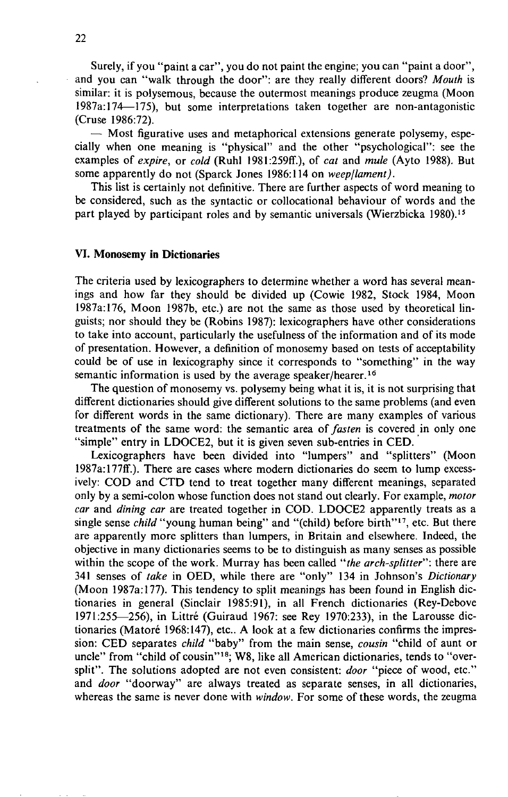Surely, if you "paint a car", you do not paint the engine; you can "paint a door", and you can "walk through the door": are they really different doors? *Mouth* is similar: it is polysemous, because the outermost meanings produce zeugma (Moon 1987a:174—175), but some interpretations taken together are non-antagonistic (Cruse 1986:72).

— Most figurative uses and metaphorical extensions generate polysemy, especially when one meaning is "physical" and the other "psychological": see the examples of *expire,* or *cold* (Ruhl 1981:259ff.), of *cat* and *mule* (Ayto 1988). But some apparently do not (Sparck Jones 1986:114 on *weep/lament).* 

This list is certainly not definitive. There are further aspects of word meaning to be considered, such as the syntactic or collocational behaviour of words and the part played by participant roles and by semantic universals (Wierzbicka 1980).<sup>15</sup>

### VI. **Monosemy in Dictionaries**

The criteria used by lexicographers to determine whether a word has several meanings and how far they should be divided up (Cowie 1982, Stock 1984, Moon 1987a:176, Moon 1987b, etc.) are not the same as those used by theoretical linguists; nor should they be (Robins 1987): lexicographers have other considerations to take into account, particularly the usefulness of the information and of its mode of presentation. However, a definition of monosemy based on tests of acceptability could be of use in lexicography since it corresponds to "something" in the way semantic information is used by the average speaker/hearer.<sup>16</sup>

The question of monosemy vs. polysemy being what it is, it is not surprising that different dictionaries should give different solutions to the same problems (and even for different words in the same dictionary). There are many examples of various treatments of the same word: the semantic area of *fasten* is covered in only one "simple" entry in LDOCE2, but it is given seven sub-entries in CED.

Lexicographers have been divided into "lumpers" and "splitters" (Moon 1987a:177ff.). There are cases where modern dictionaries do seem to lump excessively: COD and CTD tend to treat together many different meanings, separated only by a semi-colon whose function does not stand out clearly. For example, *motor car* and *dining car* are treated together in COD. LDOCE2 apparently treats as a single sense *child* "young human being" and "(child) before birth"<sup>17</sup>, etc. But there are apparently more splitters than lumpers, in Britain and elsewhere. Indeed, the objective in many dictionaries seems to be to distinguish as many senses as possible within the scope of the work. Murray has been called *"the arch-splitter":* there are 341 senses of *take* in OED, while there are "only" 134 in Johnson's *Dictionary*  (Moon 1987a:177). This tendency to split meanings has been found in English dictionaries in general (Sinclair 1985:91), in all French dictionaries (Rey-Debove 1971:255—256), in Littré (Guiraud 1967: see Rey 1970:233), in the Larousse dictionaries (Matoré 1968:147), etc.. A look at a few dictionaries confirms the impression: CED separates *child* "baby" from the main sense, *cousin* "child of aunt or uncle" from "child of cousin"<sup>18</sup>; W8, like all American dictionaries, tends to "oversplit". The solutions adopted are not even consistent: *door* "piece of wood, etc." and *door* "doorway" are always treated as separate senses, in all dictionaries, whereas the same is never done with *window.* For some of these words, the zeugma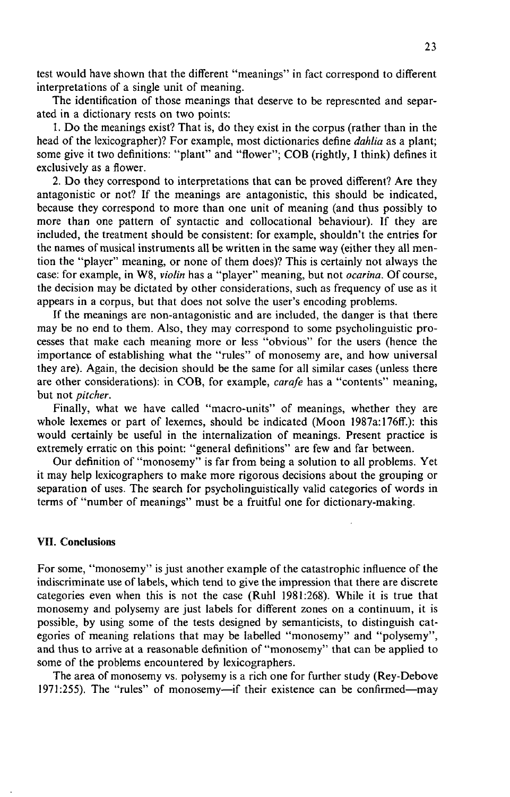test would have shown that the different "meanings" in fact correspond to different interpretations of a single unit of meaning.

The identification of those meanings that deserve to be represented and separated in a dictionary rests on two points:

1. Do the meanings exist? That is, do they exist in the corpus (rather than in the head of the lexicographer)? For example, most dictionaries define *dahlia* as a plant; some give it two definitions: "plant" and "flower"; COB (rightly, 1 think) defines it exclusively as a flower.

2. Do they correspond to interpretations that can be proved different? Are they antagonistic or not? If the meanings are antagonistic, this should be indicated, because they correspond to more than one unit of meaning (and thus possibly to more than one pattern of syntactic and collocational behaviour). If they are included, the treatment should be consistent: for example, shouldn't the entries for the names of musical instruments all be written in the same way (either they all mention the "player" meaning, or none of them does)? This is certainly not always the case: for example, in W8, *violin* has a "player" meaning, but not *ocarina.* Of course, the decision may be dictated by other considerations, such as frequency of use as it appears in a corpus, but that does not solve the user's encoding problems.

If the meanings are non-antagonistic and are included, the danger is that there may be no end to them. Also, they may correspond to some psycholinguistic processes that make each meaning more or less "obvious" for the users (hence the importance of establishing what the "rules" of monosemy are, and how universal they are). Again, the decision should be the same for all similar cases (unless there are other considerations): in COB, for example, *carafe* has a "contents" meaning, but not *pitcher.* 

Finally, what we have called "macro-units" of meanings, whether they are whole lexemes or part of lexemes, should be indicated (Moon 1987a:176ff.): this would certainly be useful in the internalization of meanings. Present practice is extremely erratic on this point: "general definitions" are few and far between.

Our definition of "monosemy" is far from being a solution to all problems. Yet it may help lexicographers to make more rigorous decisions about the grouping or separation of uses. The search for psycholinguistically valid categories of words in terms of "number of meanings" must be a fruitful one for dictionary-making.

# **VII. Conclusions**

For some, "monosemy" is just another example of the catastrophic influence of the indiscriminate use of labels, which tend to give the impression that there are discrete categories even when this is not the case (Ruhl 1981:268). While it is true that monosemy and polysemy are just labels for different zones on a continuum, it is possible, by using some of the tests designed by semanticists, to distinguish categories of meaning relations that may be labelled "monosemy" and "polysemy", and thus to arrive at a reasonable definition of "monosemy" that can be applied to some of the problems encountered by lexicographers.

The area of monosemy vs. polysemy is a rich one for further study (Rey-Debove 1971:255). The "rules" of monosemy—if their existence can be confirmed—may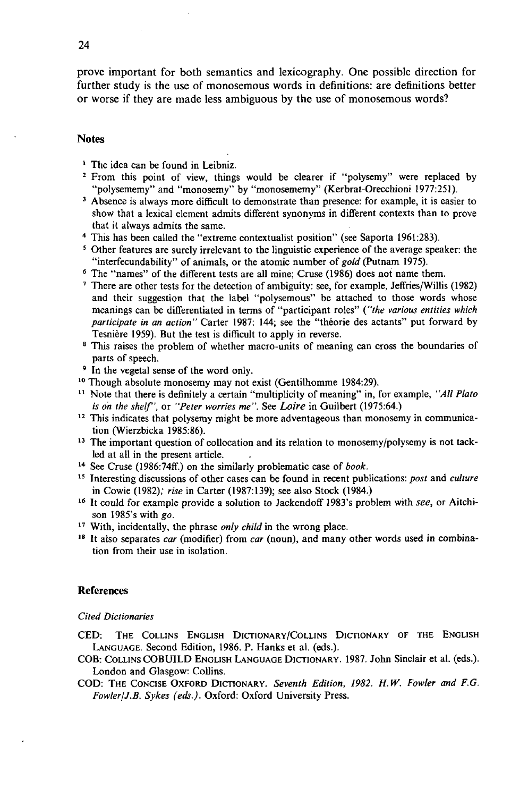prove important for both semantics and lexicography. One possible direction for further study is the use of monosemous words in definitions: are definitions better or worse if they are made less ambiguous by the use of monosemous words?

# **Notes**

- **1 The idea can be found in Leibniz.**
- <sup>2</sup> From this point of view, things would be clearer if "polysemy" were replaced by **"polysememy" and "monosemy" by "monosememy" (Kerbrat-Orecchioni 1977:251).**
- **3 Absence is always more difficult to demonstrate than presence: for example, it is easier to show that a lexical element admits different synonyms in different contexts than to prove that it always admits the same.**
- **\* This has been called the "extreme contextualist position" (see Saporta 1961:283).**
- **5 Other features are surely irrelevant to the linguistic experience of the average speaker: the**  "interfecundability" of animals, or the atomic number of gold (Putnam 1975).
- **6 The "names" of the different tests are all mine; Cruse (1986) does not name them.**
- **7 There are other tests for the detection of ambiguity: see, for example, Jeffries/Willis (1982) and their suggestion that the label "polysemous" be attached to those words whose meanings can be differentiated in terms of "participant roles"** *{"the various entities which participate in an action"* **Carter 1987: 144; see the "théorie des actants" put forward by Tesnière 1959). But the test is difficult to apply in reverse.**
- **8 This raises the problem of whether macro-units of meaning can cross the boundaries of parts of speech.**
- **9 In the vegetal sense of the word only.**
- **1 0 Though absolute monosemy may not exist (Gentilhomme 1984:29).**
- <sup>11</sup> Note that there is definitely a certain "multiplicity of meaning" in, for example, "All Plato *is oh the shelf',* **or** *"Peter worries me".* **See** *Loire* **in Guilbert (1975:64.)**
- <sup>12</sup> This indicates that polysemy might be more adventageous than monosemy in communica**tion fWierzbicka 1985:86).**
- <sup>13</sup> The important question of collocation and its relation to monosemy/polysemy is not tack**led at all in the present article.**
- **1 4 See Cruse (1986:74ff.) on the similarly problematic case of** *book.*
- **1 5 Interesting discussions of other cases can be found in recent publications:** *post* **and** *culture*  **in Cowie (1982);** *rise* **in Carter (1987:139); see also Stock (1984.)**
- **1 6 It could for example provide a solution to Jackendoff 1983's problem with** *see,* **or Aitchison 1985's with** *go.*
- **1 7 With, incidentally, the phrase** *only child* **in the wrong place.**
- **1 8 It also separates** *car* **(modifier) from** *car* **(noun), and many other words used in combination from their use in isolation.**

#### **References**

#### *Cited Dictionaries*

- **CED: THE COLLINS ENGLISH DlCTIONARY/COLLINS DlCTIONARY OF THE ENGLISH LANGUAGE. Second Edition, 1986. P. Hanks et al. (eds.).**
- **COB: CoLLiNS COBUILD ENGLISH LANGUAGE DiCTioNARY. 1987. John Sinclair et al. (eds.). London and Glasgow: Collins.**
- **COD: THE CoNCiSE OxFORD DiCTioNARY.** *Seventh Edition, 1982. H. W. Fowler and F.G. FowlerjJ.B. Sykes (eds.).* **Oxford: Oxford University Press.**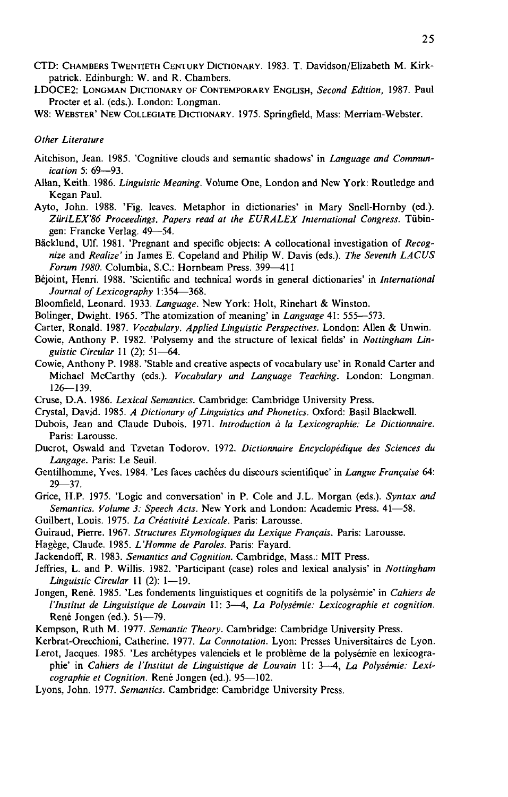- **CTD: CHAMBERS TwENTiETH CENTURY DiCTiONARY. 1983. T. Davidson/Elizabeth M. Kirkpatrick. Edinburgh: W. and R. Chambers.**
- **LDOCE2: LoNGMAN DicriONARY OF CONTEMPORARY ENGLISH,** *Second Edition,* **1987. Paul Procter et al. (eds.). London: Longman.**
- **W8: WEBSTER' NEW CoLLEGiATE DicriONARY. 1975. Springfield, Mass: Merriam-Webster.**

#### *Other Literature*

- **Aitchison, Jean. 1985. 'Cognitive clouds and semantic shadows' in** *Language and Communication* **5: 69—93.**
- **Allan, Keith. 1986.** *Linguistic Meaning.* **Volume One, London and New York: Routledge and Kegan Paul.**
- **Ayto, John. 1988. 'Fig. leaves. Metaphor in dictionaries' in Mary SneU-Hornby (ed.).**  *ZiiriLEX'86 Proceedings, Papers read at the EURALEX International Congress.* **Tübingen: Francke Verlag . 49—54.**
- **Bäcklund, Ulf. 1981. 'Pregnant and specific objects: A collocational investigation of** *Recognize* **and** *Realize'* **in James E. Copeland and Philip W. Davis (eds.).** *The Seventh LACUS Forum 1980.* **Columbia, S.C.: Hornbeam Press. 399—411**
- **Béjoint, Henri. 1988. 'Scientific and technical words in general dictionaries' in** *International Journal of Lexicography* **1:354—368.**
- **Bloomfield, Leonard. 1933.** *Language.* **New York: Holt, Rinehart & Winston.**
- **Bolinger, Dwight. 1965. 'The atomization of meaning' in** *Language* **41: 555—573.**
- **Carter, Ronald. 1987.** *Vocabulary. Applied Linguistic Perspectives.* **London: Allen & Unwin.**
- **Cowie, Anthony P. 1982. 'Polysemy and the structure of lexical fields' in** *Nottingham Linguistic Circular* **11 (2): 51—64.**
- **Cowie, Anthony P. 1988. 'Stabl e and creative aspects of vocabulary use' in Ronald Carter and Michael McCarthy (eds.).** *Vocabulary and Language Teaching.* **London: Longman. 126—139.**
- **Cruse, D.A. 1986.** *Lexical Semantics.* **Cambridge: Cambridge University Press.**
- **Crystal, David. 1985.** *A Dictionary of Linguistics and Phonetics.* **Oxford: Basil BlackweU.**
- **Dubois, Jean and Claude Dubois. 1971.** *Introduction à la Lexicographie: Le Dictionnaire.*  **Paris: Larousse.**
- **Ducrot, Oswald and Tzvetan Todorov. 1972.** *Dictionnaire Encyclopédique des Sciences du Langage.* **Paris: Le Seuil.**
- **Gentilhomme, Yves. 1984. 'Les faces cachées du discours scientifique' in** *Langue Française* **64: 29—37.**
- **Grice, H.P. 1975. 'Logic and conversation' in P. Cole and J.L. Morgan (eds.).** *Syntax and Semantics. Volume 3: Speech Acts.* **New York and London: Academic Press. 41—58.**
- **Guilbert, Louis. 1975.** *La Créativité Lexicale.* **Paris: Larousse.**
- **Guiraud, Pierre. 1967.** *Structures Etymologiques du Lexique Français.* **Paris: Larousse.**
- **Hagège, Claude. 1985.** *L'Homme de Paroles.* **Paris: Fayard.**
- **Jackendoff, R. 1983.** *Semantics and Cognition***. Cambridge, Mass.: MIT Press.**
- **Jeffries, L. and P. Willis. 1982. 'Participant (case) roles and lexical analysis' in** *Nottingham LinguisticCircular* **11 (2): 1—19.**
- **Jongen, René. 1985. 'Les fondements linguistiques et cognitifs de la polysémie' in** *Cahiers de lTnstilul de Linguistique de Louvain* **11: 3—4,** *La Polysémie: Lexicographie et cognition.*  **René Jongen (ed.). 51—79.**
- **Kempson, Ruth M. 1977.** *Semantic Theory.* **Cambridge: Cambridge University Press.**
- **Kerbrat-Orecchioni, Catherine. 1977.** *La Connotation.* **Lyon: Presses Universitaires de Lyon.**
- **Lerot, Jacques. 1985. 'Les archétypes valenciels et le problème de la polysémie en lexicographie' in** *Cahiers de l'Institut de Linguistique de Louvain* **11: 3—4,** *La Polysémie: Lexicographie et Cognition.* **René Jongen (ed.). 95—102.**
- **Lyons, John. 1977.** *Semantics.* **Cambridge: Cambridge University Press.**